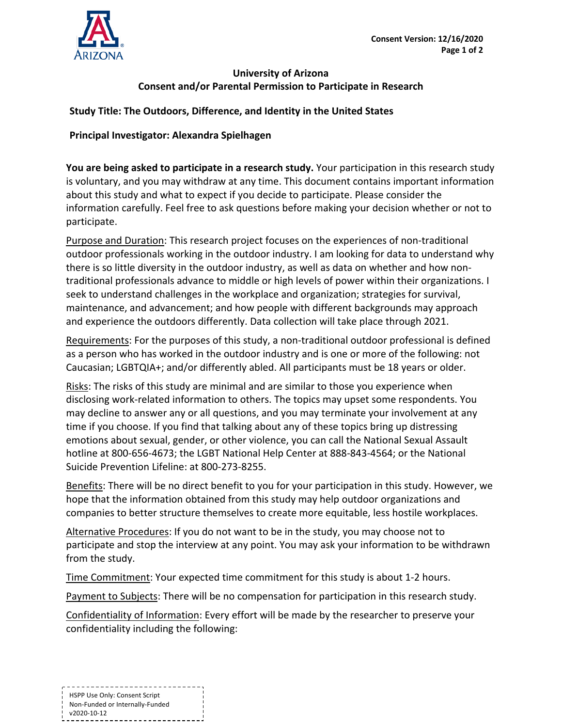

## **University of Arizona Consent and/or Parental Permission to Participate in Research**

## **Study Title: The Outdoors, Difference, and Identity in the United States**

## **Principal Investigator: Alexandra Spielhagen**

**You are being asked to participate in a research study.** Your participation in this research study is voluntary, and you may withdraw at any time. This document contains important information about this study and what to expect if you decide to participate. Please consider the information carefully. Feel free to ask questions before making your decision whether or not to participate.

Purpose and Duration: This research project focuses on the experiences of non-traditional outdoor professionals working in the outdoor industry. I am looking for data to understand why there is so little diversity in the outdoor industry, as well as data on whether and how nontraditional professionals advance to middle or high levels of power within their organizations. I seek to understand challenges in the workplace and organization; strategies for survival, maintenance, and advancement; and how people with different backgrounds may approach and experience the outdoors differently. Data collection will take place through 2021.

Requirements: For the purposes of this study, a non-traditional outdoor professional is defined as a person who has worked in the outdoor industry and is one or more of the following: not Caucasian; LGBTQIA+; and/or differently abled. All participants must be 18 years or older.

Risks: The risks of this study are minimal and are similar to those you experience when disclosing work-related information to others. The topics may upset some respondents. You may decline to answer any or all questions, and you may terminate your involvement at any time if you choose. If you find that talking about any of these topics bring up distressing emotions about sexual, gender, or other violence, you can call the National Sexual Assault hotline at 800-656-4673; the LGBT National Help Center at 888-843-4564; or the National Suicide Prevention Lifeline: at 800-273-8255.

Benefits: There will be no direct benefit to you for your participation in this study. However, we hope that the information obtained from this study may help outdoor organizations and companies to better structure themselves to create more equitable, less hostile workplaces.

Alternative Procedures: If you do not want to be in the study, you may choose not to participate and stop the interview at any point. You may ask your information to be withdrawn from the study.

Time Commitment: Your expected time commitment for this study is about 1-2 hours.

Payment to Subjects: There will be no compensation for participation in this research study.

Confidentiality of Information: Every effort will be made by the researcher to preserve your confidentiality including the following:

HSPP Use Only: Consent Script Non-Funded or Internally-Funded v2020-10-12